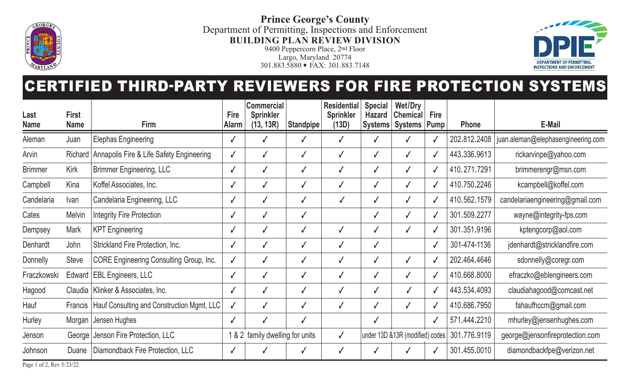

**Prince George's County** Department of Permitting, Inspections and Enforcement **BUILDING PLAN REVIEW DIVISION**

9400 Peppercorn Place, 2nd Floor Largo, Maryland 20774 301.883.5880 • FAX: 301.883.7148



## CERTIFIED THIRD-PARTY REVIEWERS FOR FIRE PROTECTION SYSTEMS

| Last           | <b>First</b> |                                                | <b>Fire</b>  | <b>Commercial</b><br><b>Sprinkler</b> |                  | <b>Residential</b><br><b>Sprinkler</b> | <b>Special</b><br><b>Hazard</b> | Wet/Dry<br><b>Chemical</b>       | <b>Fire</b>  |              |                                    |
|----------------|--------------|------------------------------------------------|--------------|---------------------------------------|------------------|----------------------------------------|---------------------------------|----------------------------------|--------------|--------------|------------------------------------|
| <b>Name</b>    | <b>Name</b>  | <b>Firm</b>                                    | <b>Alarm</b> | (13, 13R)                             | <b>Standpipe</b> | (13D)                                  | Systems                         | Systems   Pump                   |              | <b>Phone</b> | <b>E-Mail</b>                      |
| Aleman         | Juan         | <b>Elephas Engineering</b>                     |              |                                       |                  |                                        |                                 |                                  |              | 202.812.2408 | juan.aleman@elephasengineering.com |
| Arvin          | Richard      | Annapolis Fire & Life Safety Engineering       |              |                                       |                  | √                                      |                                 |                                  |              | 443.336.9613 | rickarvinpe@yahoo.com              |
| <b>Brimmer</b> | Kirk         | <b>Brimmer Engineering, LLC</b>                | $\checkmark$ |                                       | √                | $\checkmark$                           |                                 |                                  |              | 410.271.7291 | brimmerengr@msn.com                |
| Campbell       | Kina         | Koffel Associates, Inc.                        |              |                                       |                  | $\checkmark$                           |                                 |                                  | $\sqrt{2}$   | 410.750.2246 | kcampbell@koffel.com               |
| Candelaria     | Ivan         | Candelaria Engineering, LLC                    | $\checkmark$ |                                       |                  | $\checkmark$                           |                                 |                                  | $\mathbf{v}$ | 410.562.1579 | candelariaengineering@gmail.com    |
| Cates          | Melvin       | <b>Integrity Fire Protection</b>               | $\checkmark$ |                                       |                  |                                        |                                 |                                  |              | 301.509.2277 | wayne@integrity-fps.com            |
| Dempsey        | <b>Mark</b>  | <b>KPT Engineering</b>                         |              |                                       |                  | √                                      |                                 |                                  | $\mathbf{v}$ | 301.351.9196 | kptengcorp@aol.com                 |
| Denhardt       | John         | <b>Strickland Fire Protection, Inc.</b>        |              |                                       |                  | $\checkmark$                           |                                 |                                  | $\mathbf{v}$ | 301-474-1136 | jdenhardt@stricklandfire.com       |
| Donnelly       | <b>Steve</b> | <b>CORE Engineering Consulting Group, Inc.</b> |              |                                       |                  | $\checkmark$                           |                                 |                                  |              | 202.464.4646 | sdonnelly@coregr.com               |
| Fraczkowski    |              | Edward   EBL Engineers, LLC                    | $\checkmark$ |                                       | √                | √                                      |                                 |                                  | $\mathbf{v}$ | 410.668.8000 | efraczko@eblengineers.com          |
| Hagood         |              | Claudia   Klinker & Associates, Inc.           |              |                                       |                  | √                                      |                                 |                                  | $\mathbf{v}$ | 443.534.4093 | claudiahagood@comcast.net          |
| Hauf           | Francis      | Hauf Consulting and Construction Mgmt, LLC     |              |                                       |                  | √                                      |                                 |                                  | $\mathbf{v}$ | 410.686.7950 | fahaufhccm@gmail.com               |
| Hurley         |              | Morgan   Jensen Hughes                         |              |                                       |                  |                                        |                                 |                                  |              | 571.444.2210 | mhurley@jensenhughes.com           |
| Jenson         |              | George   Jenson Fire Protection, LLC           | 1&8&2        | family dwelling for units             |                  | $\checkmark$                           |                                 | under 13D & 13R (modified) codes |              | 301.776.9119 | george@jensonfireprotection.com    |
| Johnson        | Duane        | Diamondback Fire Protection, LLC               |              |                                       |                  | √                                      |                                 |                                  |              | 301.455.0010 | diamondbackfpe@verizon.net         |

Page 1 of 2, Rev 5/23/22